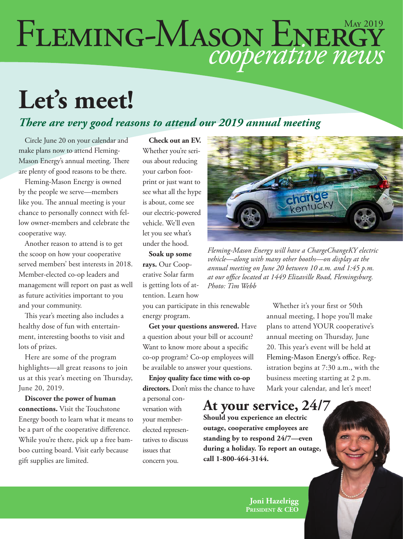# FLEMING-MASON ENERGY

## **Let's meet!**

#### *There are very good reasons to attend our 2019 annual meeting*

Circle June 20 on your calendar and make plans now to attend Fleming-Mason Energy's annual meeting. There are plenty of good reasons to be there.

Fleming-Mason Energy is owned by the people we serve—members like you. The annual meeting is your chance to personally connect with fellow owner-members and celebrate the cooperative way.

Another reason to attend is to get the scoop on how your cooperative served members' best interests in 2018. Member-elected co-op leaders and management will report on past as well as future activities important to you and your community.

This year's meeting also includes a healthy dose of fun with entertainment, interesting booths to visit and lots of prizes.

Here are some of the program highlights—all great reasons to join us at this year's meeting on Thursday, June 20, 2019.

**Discover the power of human connections.** Visit the Touchstone Energy booth to learn what it means to be a part of the cooperative difference. While you're there, pick up a free bamboo cutting board. Visit early because gift supplies are limited.

**Check out an EV.** Whether you're serious about reducing your carbon footprint or just want to see what all the hype is about, come see our electric-powered vehicle. We'll even let you see what's under the hood.

**Soak up some rays.** Our Cooperative Solar farm is getting lots of attention. Learn how

you can participate in this renewable energy program.

**Get your questions answered.** Have a question about your bill or account? Want to know more about a specific co-op program? Co-op employees will be available to answer your questions.

**Enjoy quality face time with co-op directors.** Don't miss the chance to have

a personal conversation with your memberelected representatives to discuss issues that concern you.



*Fleming-Mason Energy will have a ChargeChangeKY electric vehicle—along with many other booths—on display at the annual meeting on June 20 between 10 a.m. and 1:45 p.m. at our office located at 1449 Elizaville Road, Flemingsburg. Photo: Tim Webb*

Whether it's your first or 50th annual meeting, I hope you'll make plans to attend YOUR cooperative's annual meeting on Thursday, June 20. This year's event will be held at Fleming-Mason Energy's office. Registration begins at 7:30 a.m., with the business meeting starting at 2 p.m. Mark your calendar, and let's meet!

#### **At your service, 24/7**

**Should you experience an electric outage, cooperative employees are standing by to respond 24/7—even during a holiday. To report an outage, call 1-800-464-3144.**

> **Joni Hazelrigg President & CEO**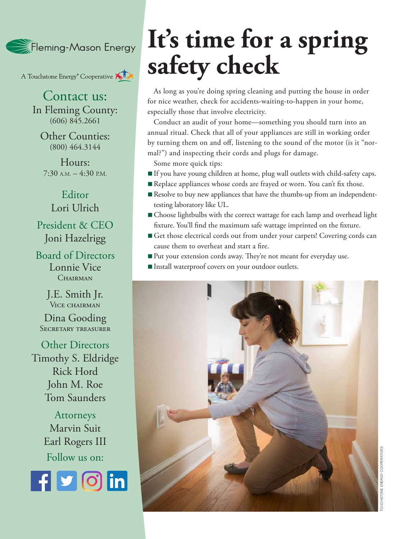Fleming-Mason Energy

A Touchstone Energy<sup>®</sup> Cooperative

Contact us: In Fleming County:  $(606)$  845.2661

Other Counties: (800) 464.3144

Hours:  $7:30$  A.M.  $-4:30$  P.M.

Editor Lori Ulrich President & CEO

Joni Hazelrigg

Board of Directors Lonnie Vice CHAIRMAN

> J.E. Smith Jr. VICE CHAIRMAN

Dina Gooding SECRETARY TREASURER

Other Directors Timothy S. Eldridge Rick Hord John M. Roe Tom Saunders

> Attorneys Marvin Suit Earl Rogers III Follow us on:



## **It's time for a spring safety check**

As long as you're doing spring cleaning and putting the house in order for nice weather, check for accidents-waiting-to-happen in your home, especially those that involve electricity.

Conduct an audit of your home—something you should turn into an annual ritual. Check that all of your appliances are still in working order by turning them on and off, listening to the sound of the motor (is it "normal?") and inspecting their cords and plugs for damage.

Some more quick tips:

- n If you have young children at home, plug wall outlets with child-safety caps.
- Replace appliances whose cords are frayed or worn. You can't fix those.
- $\blacksquare$  Resolve to buy new appliances that have the thumbs-up from an independenttesting laboratory like UL.
- Choose lightbulbs with the correct wattage for each lamp and overhead light fixture. You'll find the maximum safe wattage imprinted on the fixture.
- n Get those electrical cords out from under your carpets! Covering cords can cause them to overheat and start a fire.
- Put your extension cords away. They're not meant for everyday use.
- n Install waterproof covers on your outdoor outlets.

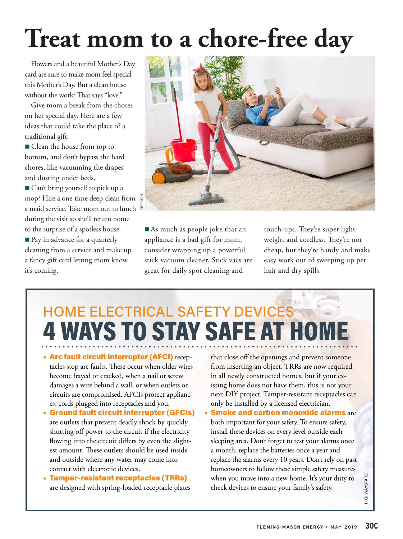# **Treat mom to a chore-free day**

Flowers and a beautiful Mother's Day card are sure to make mom feel special this Mother's Day. But a clean house without the work? That says "love."

Give mom a break from the chores on her special day. Here are a few ideas that could take the place of a traditional gift.

■ Clean the house from top to bottom, and don't bypass the hard chores, like vacuuming the drapes and dusting under beds.

■ Can't bring yourself to pick up a mop? Hire a one-time deep-clean from a maid service. Take mom out to lunch during the visit so she'll return home to the surprise of a spotless house.

■ Pay in advance for a quarterly cleaning from a service and make up a fancy gift card letting mom know it's coming.



 $\blacksquare$  As much as people joke that an appliance is a bad gift for mom, consider wrapping up a powerful stick vacuum cleaner. Stick vacs are great for daily spot cleaning and

touch-ups. They're super lightweight and cordless. They're not cheap, but they're handy and make easy work out of sweeping up pet hair and dry spills.

#### HOME ELECTRICAL SAFETY DEVICES **4 WAYS TO STAY SAFE AT HOM**

- Arc fault circuit interrupter (AFCI) receptacles stop arc faults. These occur when older wires become frayed or cracked, when a nail or screw damages a wire behind a wall, or when outlets or circuits are compromised. AFCIs protect appliances, cords plugged into receptacles and you.
- Ground fault circuit interrupter (GFCIs) are outlets that prevent deadly shock by quickly shutting off power to the circuit if the electricity flowing into the circuit differs by even the slightest amount. These outlets should be used inside and outside where any water may come into contact with electronic devices.
- Tamper-resistant receptacles (TRRs) are designed with spring-loaded receptacle plates

that close off the openings and prevent someone from inserting an object. TRRs are now required in all newly constructed homes, but if your existing home does not have them, this is not your next DIY project. Tamper-resistant receptacles can only be installed by a licensed electrician.

• Smoke and carbon monoxide alarms are both important for your safety. To ensure safety, install these devices on every level outside each sleeping area. Don't forget to test your alarms once a month, replace the batteries once a year and replace the alarms every 10 years. Don't rely on past homeowners to follow these simple safety measures when you move into a new home. It's your duty to check devices to ensure your family's safety.

HIGHWAYSTARZ

**HIGHWAYSTARZ**